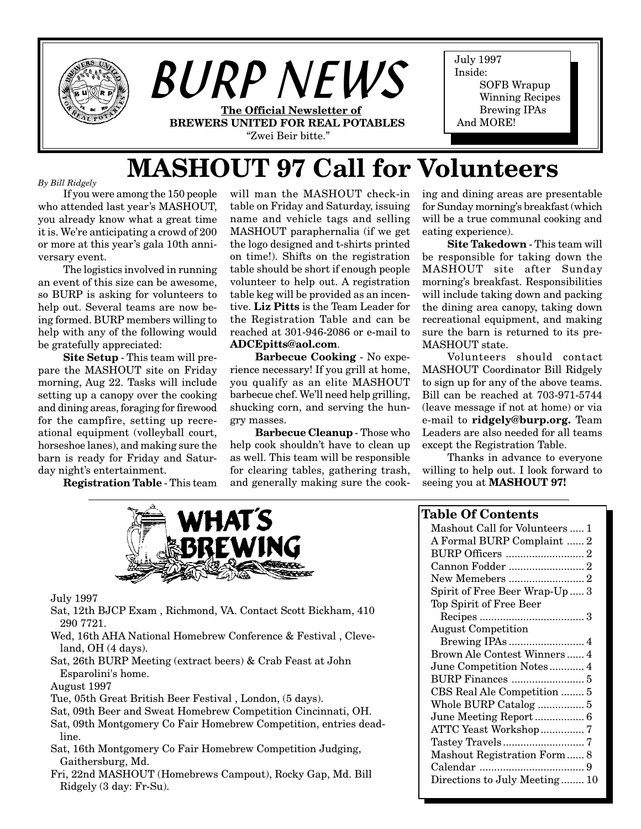

# **MASHOUT 97 Call for Volunteers**

*By Bill Ridgely*

If you were among the 150 people who attended last year's MASHOUT, you already know what a great time it is. We're anticipating a crowd of 200 or more at this year's gala 10th anniversary event.

The logistics involved in running an event of this size can be awesome, so BURP is asking for volunteers to help out. Several teams are now being formed. BURP members willing to help with any of the following would be gratefully appreciated:

**Site Setup** - This team will prepare the MASHOUT site on Friday morning, Aug 22. Tasks will include setting up a canopy over the cooking and dining areas, foraging for firewood for the campfire, setting up recreational equipment (volleyball court, horseshoe lanes), and making sure the barn is ready for Friday and Saturday night's entertainment.

**Registration Table** - This team

will man the MASHOUT check-in table on Friday and Saturday, issuing name and vehicle tags and selling MASHOUT paraphernalia (if we get the logo designed and t-shirts printed on time!). Shifts on the registration table should be short if enough people volunteer to help out. A registration table keg will be provided as an incentive. **Liz Pitts** is the Team Leader for the Registration Table and can be reached at 301-946-2086 or e-mail to **ADCEpitts@aol.com**.

**Barbecue Cooking** - No experience necessary! If you grill at home, you qualify as an elite MASHOUT barbecue chef. We'll need help grilling, shucking corn, and serving the hungry masses.

**Barbecue Cleanup** - Those who help cook shouldn't have to clean up as well. This team will be responsible for clearing tables, gathering trash, and generally making sure the cooking and dining areas are presentable for Sunday morning's breakfast (which will be a true communal cooking and eating experience).

**Site Takedown** - This team will be responsible for taking down the MASHOUT site after Sunday morning's breakfast. Responsibilities will include taking down and packing the dining area canopy, taking down recreational equipment, and making sure the barn is returned to its pre-MASHOUT state.

Volunteers should contact MASHOUT Coordinator Bill Ridgely to sign up for any of the above teams. Bill can be reached at 703-971-5744 (leave message if not at home) or via e-mail to **ridgely@burp.org.** Team Leaders are also needed for all teams except the Registration Table.

Thanks in advance to everyone willing to help out. I look forward to seeing you at **MASHOUT 97!**



July 1997

- Sat, 12th BJCP Exam , Richmond, VA. Contact Scott Bickham, 410 290 7721.
- Wed, 16th AHA National Homebrew Conference & Festival , Cleveland, OH (4 days).
- Sat, 26th BURP Meeting (extract beers) & Crab Feast at John Esparolini's home.

#### August 1997

- Tue, 05th Great British Beer Festival , London, (5 days).
- Sat, 09th Beer and Sweat Homebrew Competition Cincinnati, OH.
- Sat, 09th Montgomery Co Fair Homebrew Competition, entries deadline.
- Sat, 16th Montgomery Co Fair Homebrew Competition Judging, Gaithersburg, Md.
- Fri, 22nd MASHOUT (Homebrews Campout), Rocky Gap, Md. Bill Ridgely (3 day: Fr-Su).

### **Table Of Contents**

| Mashout Call for Volunteers  1 |
|--------------------------------|
| A Formal BURP Complaint  2     |
|                                |
| Cannon Fodder  2               |
| New Memebers  2                |
| Spirit of Free Beer Wrap-Up 3  |
| Top Spirit of Free Beer        |
|                                |
| <b>August Competition</b>      |
|                                |
| Brown Ale Contest Winners 4    |
| June Competition Notes 4       |
|                                |
| CBS Real Ale Competition  5    |
|                                |
| June Meeting Report 6          |
| ATTC Yeast Workshop 7          |
|                                |
| Mashout Registration Form 8    |
|                                |
| Directions to July Meeting 10  |
|                                |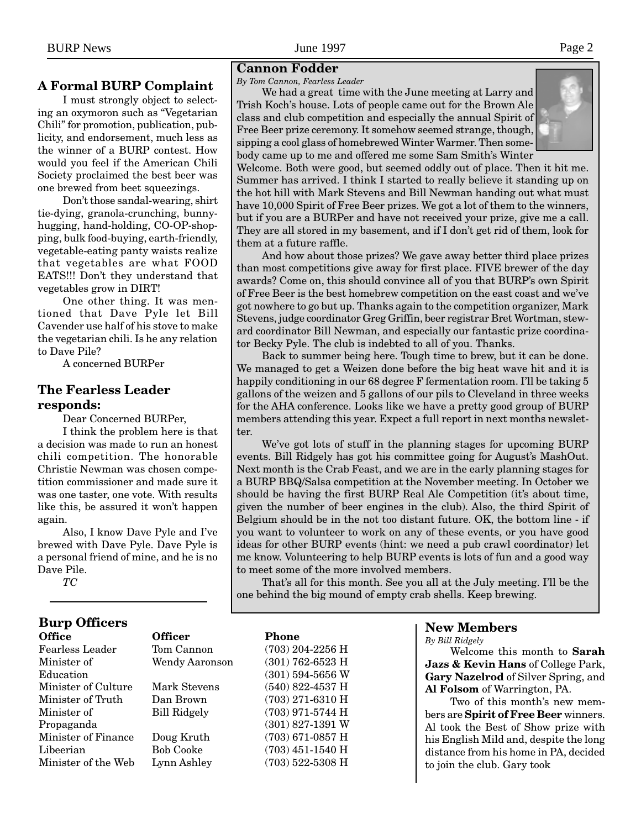# **A Formal BURP Complaint**

I must strongly object to selecting an oxymoron such as "Vegetarian Chili" for promotion, publication, publicity, and endorsement, much less as the winner of a BURP contest. How would you feel if the American Chili Society proclaimed the best beer was one brewed from beet squeezings.

Don't those sandal-wearing, shirt tie-dying, granola-crunching, bunnyhugging, hand-holding, CO-OP-shopping, bulk food-buying, earth-friendly, vegetable-eating panty waists realize that vegetables are what FOOD EATS!!! Don't they understand that vegetables grow in DIRT!

One other thing. It was mentioned that Dave Pyle let Bill Cavender use half of his stove to make the vegetarian chili. Is he any relation to Dave Pile?

A concerned BURPer

# **The Fearless Leader responds:**

Dear Concerned BURPer,

I think the problem here is that a decision was made to run an honest chili competition. The honorable Christie Newman was chosen competition commissioner and made sure it was one taster, one vote. With results like this, be assured it won't happen again.

Also, I know Dave Pyle and I've brewed with Dave Pyle. Dave Pyle is a personal friend of mine, and he is no Dave Pile.

*TC*

# **Burp Officers**

| <b>Office</b>          | <b>Officer</b>        | <b>Phone</b>       |
|------------------------|-----------------------|--------------------|
| <b>Fearless Leader</b> | Tom Cannon            | (703) 204-2256 H   |
| Minister of            | <b>Wendy Aaronson</b> | $(301)$ 762-6523 H |
| Education              |                       | $(301)$ 594-5656 W |
| Minister of Culture    | Mark Stevens          | $(540)$ 822-4537 H |
| Minister of Truth      | Dan Brown             | $(703)$ 271-6310 H |
| Minister of            | <b>Bill Ridgely</b>   | (703) 971-5744 H   |
| Propaganda             |                       | $(301)$ 827-1391 W |
| Minister of Finance    | Doug Kruth            | $(703)$ 671-0857 H |
| Libeerian              | <b>Bob Cooke</b>      | $(703)$ 451-1540 H |
| Minister of the Web    | Lynn Ashley           | $(703)$ 522-5308 H |

#### **Cannon Fodder**

#### *By Tom Cannon, Fearless Leader*

We had a great time with the June meeting at Larry and Trish Koch's house. Lots of people came out for the Brown Ale class and club competition and especially the annual Spirit of Free Beer prize ceremony. It somehow seemed strange, though, sipping a cool glass of homebrewed Winter Warmer. Then somebody came up to me and offered me some Sam Smith's Winter



Welcome. Both were good, but seemed oddly out of place. Then it hit me. Summer has arrived. I think I started to really believe it standing up on the hot hill with Mark Stevens and Bill Newman handing out what must have 10,000 Spirit of Free Beer prizes. We got a lot of them to the winners, but if you are a BURPer and have not received your prize, give me a call. They are all stored in my basement, and if I don't get rid of them, look for them at a future raffle.

And how about those prizes? We gave away better third place prizes than most competitions give away for first place. FIVE brewer of the day awards? Come on, this should convince all of you that BURP's own Spirit of Free Beer is the best homebrew competition on the east coast and we've got nowhere to go but up. Thanks again to the competition organizer, Mark Stevens, judge coordinator Greg Griffin, beer registrar Bret Wortman, steward coordinator Bill Newman, and especially our fantastic prize coordinator Becky Pyle. The club is indebted to all of you. Thanks.

Back to summer being here. Tough time to brew, but it can be done. We managed to get a Weizen done before the big heat wave hit and it is happily conditioning in our 68 degree F fermentation room. I'll be taking 5 gallons of the weizen and 5 gallons of our pils to Cleveland in three weeks for the AHA conference. Looks like we have a pretty good group of BURP members attending this year. Expect a full report in next months newsletter.

We've got lots of stuff in the planning stages for upcoming BURP events. Bill Ridgely has got his committee going for August's MashOut. Next month is the Crab Feast, and we are in the early planning stages for a BURP BBQ/Salsa competition at the November meeting. In October we should be having the first BURP Real Ale Competition (it's about time, given the number of beer engines in the club). Also, the third Spirit of Belgium should be in the not too distant future. OK, the bottom line - if you want to volunteer to work on any of these events, or you have good ideas for other BURP events (hint: we need a pub crawl coordinator) let me know. Volunteering to help BURP events is lots of fun and a good way to meet some of the more involved members.

That's all for this month. See you all at the July meeting. I'll be the one behind the big mound of empty crab shells. Keep brewing.

# **New Members**

*By Bill Ridgely*

Welcome this month to **Sarah Jazs & Kevin Hans** of College Park, **Gary Nazelrod** of Silver Spring, and **Al Folsom** of Warrington, PA.

Two of this month's new members are **Spirit of Free Beer** winners. Al took the Best of Show prize with his English Mild and, despite the long distance from his home in PA, decided to join the club. Gary took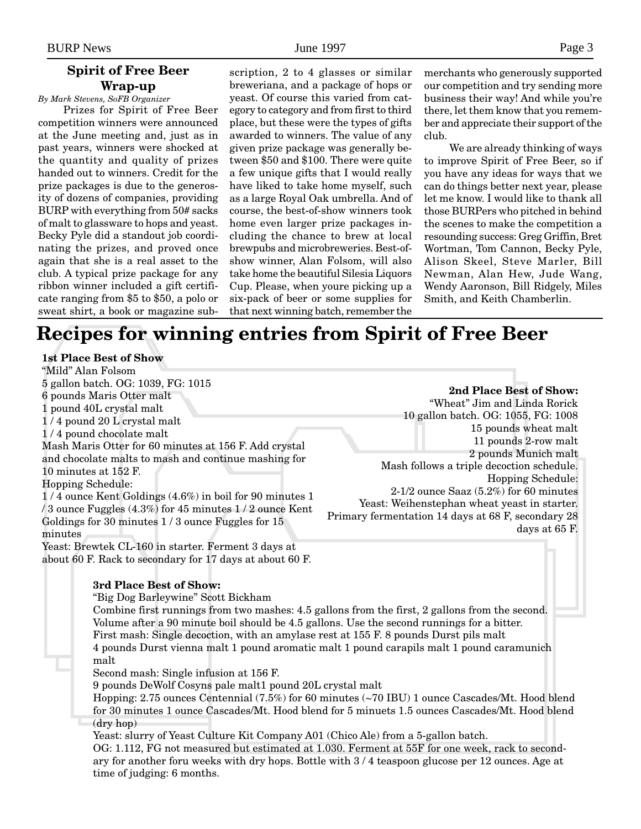# **Spirit of Free Beer Wrap-up**

*By Mark Stevens, SoFB Organizer*

Prizes for Spirit of Free Beer competition winners were announced at the June meeting and, just as in past years, winners were shocked at the quantity and quality of prizes handed out to winners. Credit for the prize packages is due to the generosity of dozens of companies, providing BURP with everything from 50# sacks of malt to glassware to hops and yeast. Becky Pyle did a standout job coordinating the prizes, and proved once again that she is a real asset to the club. A typical prize package for any ribbon winner included a gift certificate ranging from \$5 to \$50, a polo or sweat shirt, a book or magazine sub-

scription, 2 to 4 glasses or similar breweriana, and a package of hops or yeast. Of course this varied from category to category and from first to third place, but these were the types of gifts awarded to winners. The value of any given prize package was generally between \$50 and \$100. There were quite a few unique gifts that I would really have liked to take home myself, such as a large Royal Oak umbrella. And of course, the best-of-show winners took home even larger prize packages including the chance to brew at local brewpubs and microbreweries. Best-ofshow winner, Alan Folsom, will also take home the beautiful Silesia Liquors Cup. Please, when youre picking up a six-pack of beer or some supplies for that next winning batch, remember the

merchants who generously supported our competition and try sending more business their way! And while you're there, let them know that you remember and appreciate their support of the club.

We are already thinking of ways to improve Spirit of Free Beer, so if you have any ideas for ways that we can do things better next year, please let me know. I would like to thank all those BURPers who pitched in behind the scenes to make the competition a resounding success: Greg Griffin, Bret Wortman, Tom Cannon, Becky Pyle, Alison Skeel, Steve Marler, Bill Newman, Alan Hew, Jude Wang, Wendy Aaronson, Bill Ridgely, Miles Smith, and Keith Chamberlin.

# **Recipes for winning entries from Spirit of Free Beer**

#### **1st Place Best of Show**

"Mild" Alan Folsom 5 gallon batch. OG: 1039, FG: 1015 6 pounds Maris Otter malt 1 pound 40L crystal malt 1 / 4 pound 20 L crystal malt 1 / 4 pound chocolate malt Mash Maris Otter for 60 minutes at 156 F. Add crystal and chocolate malts to mash and continue mashing for 10 minutes at 152 F. Hopping Schedule: 1 / 4 ounce Kent Goldings (4.6%) in boil for 90 minutes 1 / 3 ounce Fuggles (4.3%) for 45 minutes 1 / 2 ounce Kent Goldings for 30 minutes 1 / 3 ounce Fuggles for 15 minutes

Yeast: Brewtek CL-160 in starter. Ferment 3 days at about 60 F. Rack to secondary for 17 days at about 60 F.

#### **3rd Place Best of Show:**

"Big Dog Barleywine" Scott Bickham

Combine first runnings from two mashes: 4.5 gallons from the first, 2 gallons from the second. Volume after a 90 minute boil should be 4.5 gallons. Use the second runnings for a bitter. First mash: Single decoction, with an amylase rest at 155 F. 8 pounds Durst pils malt 4 pounds Durst vienna malt 1 pound aromatic malt 1 pound carapils malt 1 pound caramunich malt

Second mash: Single infusion at 156 F.

9 pounds DeWolf Cosyns pale malt1 pound 20L crystal malt

Hopping: 2.75 ounces Centennial (7.5%) for 60 minutes (~70 IBU) 1 ounce Cascades/Mt. Hood blend for 30 minutes 1 ounce Cascades/Mt. Hood blend for 5 minuets 1.5 ounces Cascades/Mt. Hood blend (dry hop)

Yeast: slurry of Yeast Culture Kit Company A01 (Chico Ale) from a 5-gallon batch.

OG: 1.112, FG not measured but estimated at 1.030. Ferment at 55F for one week, rack to secondary for another foru weeks with dry hops. Bottle with 3 / 4 teaspoon glucose per 12 ounces. Age at time of judging: 6 months.

**2nd Place Best of Show:** "Wheat" Jim and Linda Rorick 10 gallon batch. OG: 1055, FG: 1008 15 pounds wheat malt 11 pounds 2-row malt 2 pounds Munich malt Mash follows a triple decoction schedule. Hopping Schedule: 2-1/2 ounce Saaz (5.2%) for 60 minutes Yeast: Weihenstephan wheat yeast in starter. Primary fermentation 14 days at 68 F, secondary 28 days at 65 F.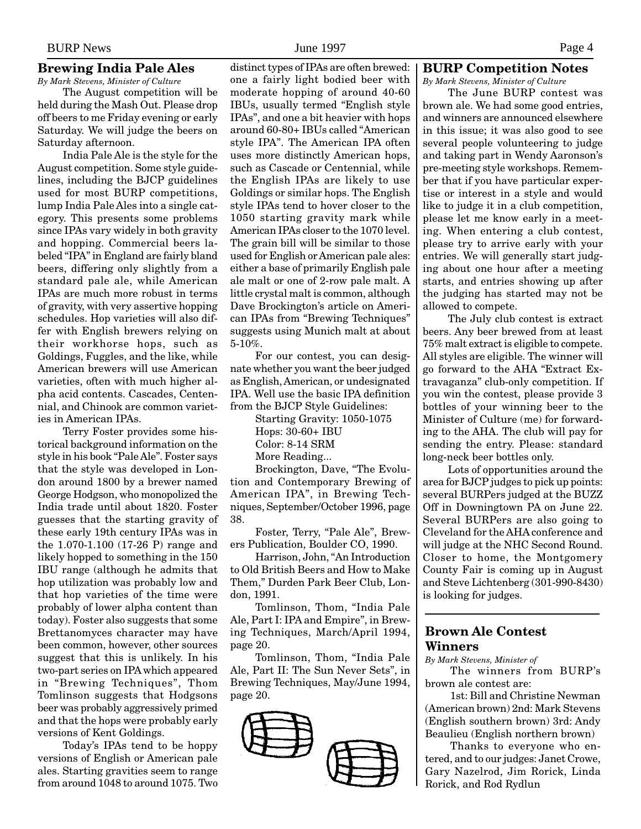#### **Brewing India Pale Ales**

*By Mark Stevens, Minister of Culture* The August competition will be held during the Mash Out. Please drop off beers to me Friday evening or early Saturday. We will judge the beers on Saturday afternoon.

India Pale Ale is the style for the August competition. Some style guidelines, including the BJCP guidelines used for most BURP competitions, lump India Pale Ales into a single category. This presents some problems since IPAs vary widely in both gravity and hopping. Commercial beers labeled "IPA" in England are fairly bland beers, differing only slightly from a standard pale ale, while American IPAs are much more robust in terms of gravity, with very assertive hopping schedules. Hop varieties will also differ with English brewers relying on their workhorse hops, such as Goldings, Fuggles, and the like, while American brewers will use American varieties, often with much higher alpha acid contents. Cascades, Centennial, and Chinook are common varieties in American IPAs.

Terry Foster provides some historical background information on the style in his book "Pale Ale". Foster says that the style was developed in London around 1800 by a brewer named George Hodgson, who monopolized the India trade until about 1820. Foster guesses that the starting gravity of these early 19th century IPAs was in the 1.070-1.100 (17-26 P) range and likely hopped to something in the 150 IBU range (although he admits that hop utilization was probably low and that hop varieties of the time were probably of lower alpha content than today). Foster also suggests that some Brettanomyces character may have been common, however, other sources suggest that this is unlikely. In his two-part series on IPA which appeared in "Brewing Techniques", Thom Tomlinson suggests that Hodgsons beer was probably aggressively primed and that the hops were probably early versions of Kent Goldings.

Today's IPAs tend to be hoppy versions of English or American pale ales. Starting gravities seem to range from around 1048 to around 1075. Two distinct types of IPAs are often brewed: one a fairly light bodied beer with moderate hopping of around 40-60 IBUs, usually termed "English style IPAs", and one a bit heavier with hops around 60-80+ IBUs called "American style IPA". The American IPA often uses more distinctly American hops, such as Cascade or Centennial, while the English IPAs are likely to use Goldings or similar hops. The English style IPAs tend to hover closer to the 1050 starting gravity mark while American IPAs closer to the 1070 level. The grain bill will be similar to those used for English or American pale ales: either a base of primarily English pale ale malt or one of 2-row pale malt. A little crystal malt is common, although Dave Brockington's article on American IPAs from "Brewing Techniques" suggests using Munich malt at about 5-10%.

For our contest, you can designate whether you want the beer judged as English, American, or undesignated IPA. Well use the basic IPA definition from the BJCP Style Guidelines:

> Starting Gravity: 1050-1075 Hops: 30-60+ IBU Color: 8-14 SRM More Reading... Brockington, Dave, "The Evolu-

tion and Contemporary Brewing of American IPA", in Brewing Techniques, September/October 1996, page 38.

Foster, Terry, "Pale Ale", Brewers Publication, Boulder CO, 1990.

Harrison, John, "An Introduction to Old British Beers and How to Make Them," Durden Park Beer Club, London, 1991.

Tomlinson, Thom, "India Pale Ale, Part I: IPA and Empire", in Brewing Techniques, March/April 1994, page 20.

Tomlinson, Thom, "India Pale Ale, Part II: The Sun Never Sets", in Brewing Techniques, May/June 1994, page 20.



# **BURP Competition Notes**

*By Mark Stevens, Minister of Culture*

The June BURP contest was brown ale. We had some good entries, and winners are announced elsewhere in this issue; it was also good to see several people volunteering to judge and taking part in Wendy Aaronson's pre-meeting style workshops. Remember that if you have particular expertise or interest in a style and would like to judge it in a club competition, please let me know early in a meeting. When entering a club contest, please try to arrive early with your entries. We will generally start judging about one hour after a meeting starts, and entries showing up after the judging has started may not be allowed to compete.

The July club contest is extract beers. Any beer brewed from at least 75% malt extract is eligible to compete. All styles are eligible. The winner will go forward to the AHA "Extract Extravaganza" club-only competition. If you win the contest, please provide 3 bottles of your winning beer to the Minister of Culture (me) for forwarding to the AHA. The club will pay for sending the entry. Please: standard long-neck beer bottles only.

Lots of opportunities around the area for BJCP judges to pick up points: several BURPers judged at the BUZZ Off in Downingtown PA on June 22. Several BURPers are also going to Cleveland for the AHA conference and will judge at the NHC Second Round. Closer to home, the Montgomery County Fair is coming up in August and Steve Lichtenberg (301-990-8430) is looking for judges.

#### **Brown Ale Contest Winners**

*By Mark Stevens, Minister of*

The winners from BURP's brown ale contest are:

1st: Bill and Christine Newman (American brown) 2nd: Mark Stevens (English southern brown) 3rd: Andy Beaulieu (English northern brown)

Thanks to everyone who entered, and to our judges: Janet Crowe, Gary Nazelrod, Jim Rorick, Linda Rorick, and Rod Rydlun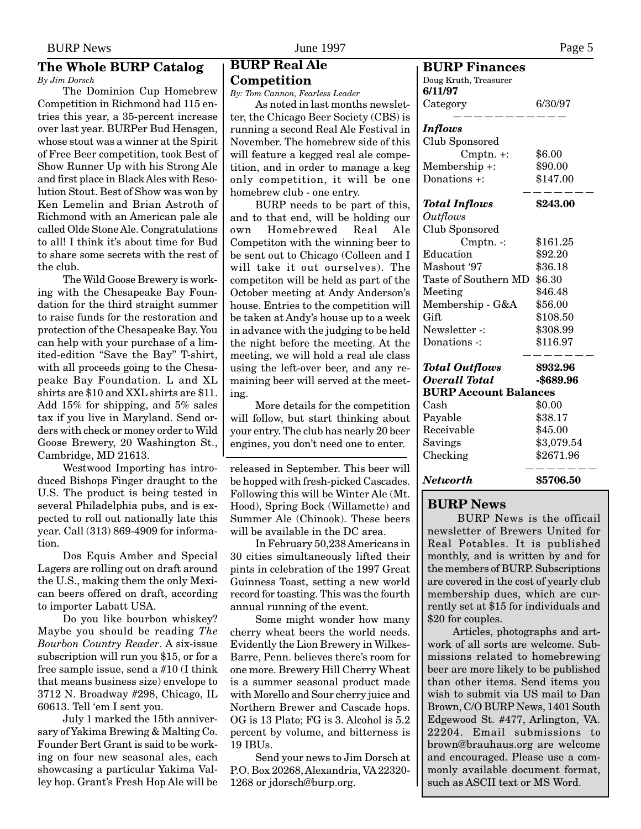#### **The Whole BURP Catalog** *By Jim Dorsch*

The Dominion Cup Homebrew Competition in Richmond had 115 entries this year, a 35-percent increase over last year. BURPer Bud Hensgen, whose stout was a winner at the Spirit of Free Beer competition, took Best of Show Runner Up with his Strong Ale and first place in Black Ales with Resolution Stout. Best of Show was won by Ken Lemelin and Brian Astroth of Richmond with an American pale ale called Olde Stone Ale. Congratulations to all! I think it's about time for Bud to share some secrets with the rest of the club.

The Wild Goose Brewery is working with the Chesapeake Bay Foundation for the third straight summer to raise funds for the restoration and protection of the Chesapeake Bay. You can help with your purchase of a limited-edition "Save the Bay" T-shirt, with all proceeds going to the Chesapeake Bay Foundation. L and XL shirts are \$10 and XXL shirts are \$11. Add 15% for shipping, and 5% sales tax if you live in Maryland. Send orders with check or money order to Wild Goose Brewery, 20 Washington St., Cambridge, MD 21613.

Westwood Importing has introduced Bishops Finger draught to the U.S. The product is being tested in several Philadelphia pubs, and is expected to roll out nationally late this year. Call (313) 869-4909 for information.

Dos Equis Amber and Special Lagers are rolling out on draft around the U.S., making them the only Mexican beers offered on draft, according to importer Labatt USA.

Do you like bourbon whiskey? Maybe you should be reading *The Bourbon Country Reader*. A six-issue subscription will run you \$15, or for a free sample issue, send a #10 (I think that means business size) envelope to 3712 N. Broadway #298, Chicago, IL 60613. Tell 'em I sent you.

July 1 marked the 15th anniversary of Yakima Brewing & Malting Co. Founder Bert Grant is said to be working on four new seasonal ales, each showcasing a particular Yakima Valley hop. Grant's Fresh Hop Ale will be

# **BURP Real Ale Competition**

*By: Tom Cannon, Fearless Leader*

As noted in last months newsletter, the Chicago Beer Society (CBS) is running a second Real Ale Festival in November. The homebrew side of this will feature a kegged real ale competition, and in order to manage a keg only competition, it will be one homebrew club - one entry.

BURP needs to be part of this, and to that end, will be holding our own Homebrewed Real Ale Competiton with the winning beer to be sent out to Chicago (Colleen and I will take it out ourselves). The competiton will be held as part of the October meeting at Andy Anderson's house. Entries to the competition will be taken at Andy's house up to a week in advance with the judging to be held the night before the meeting. At the meeting, we will hold a real ale class using the left-over beer, and any remaining beer will served at the meeting.

More details for the competition will follow, but start thinking about your entry. The club has nearly 20 beer engines, you don't need one to enter.

released in September. This beer will be hopped with fresh-picked Cascades. Following this will be Winter Ale (Mt. Hood), Spring Bock (Willamette) and Summer Ale (Chinook). These beers will be available in the DC area.

In February 50,238 Americans in 30 cities simultaneously lifted their pints in celebration of the 1997 Great Guinness Toast, setting a new world record for toasting. This was the fourth annual running of the event.

Some might wonder how many cherry wheat beers the world needs. Evidently the Lion Brewery in Wilkes-Barre, Penn. believes there's room for one more. Brewery Hill Cherry Wheat is a summer seasonal product made with Morello and Sour cherry juice and Northern Brewer and Cascade hops. OG is 13 Plato; FG is 3. Alcohol is 5.2 percent by volume, and bitterness is 19 IBUs.

Send your news to Jim Dorsch at P.O. Box 20268, Alexandria, VA 22320- 1268 or jdorsch@burp.org.

| <b>BURP Finances</b>         |            |
|------------------------------|------------|
| Doug Kruth, Treasurer        |            |
| 6/11/97                      |            |
| Category                     | 6/30/97    |
| <b>Inflows</b>               |            |
| Club Sponsored               |            |
| $Cmptn. +:$                  | \$6.00     |
| Membership +:                | \$90.00    |
| Donations +:                 | \$147.00   |
| Total Inflows                | \$243.00   |
| <i>Outflows</i>              |            |
| Club Sponsored               |            |
| $C$ mptn. $\cdot$ :          | \$161.25   |
| Education                    | \$92.20    |
| Mashout '97                  | \$36.18    |
| Taste of Southern MD         | \$6.30     |
| Meeting                      | \$46.48    |
| Membership - G&A             | \$56.00    |
| Gift                         | \$108.50   |
| Newsletter -:                | \$308.99   |
| Donations -:                 | \$116.97   |
| <b>Total Outflows</b>        | \$932.96   |
| <b>Overall Total</b>         | -\$689.96  |
| <b>BURP Account Balances</b> |            |
| $\operatorname{Cash}$        | \$0.00     |
| Payable                      | \$38.17    |
| Receivable                   | \$45.00    |
| Savings                      | \$3,079.54 |
| Checking                     | \$2671.96  |
| Networth                     | \$5706.50  |

#### **BURP News**

 BURP News is the officail newsletter of Brewers United for Real Potables. It is published monthly, and is written by and for the members of BURP. Subscriptions are covered in the cost of yearly club membership dues, which are currently set at \$15 for individuals and \$20 for couples.

Articles, photographs and artwork of all sorts are welcome. Submissions related to homebrewing beer are more likely to be published than other items. Send items you wish to submit via US mail to Dan Brown, C/O BURP News, 1401 South Edgewood St. #477, Arlington, VA. 22204. Email submissions to brown@brauhaus.org are welcome and encouraged. Please use a commonly available document format, such as ASCII text or MS Word.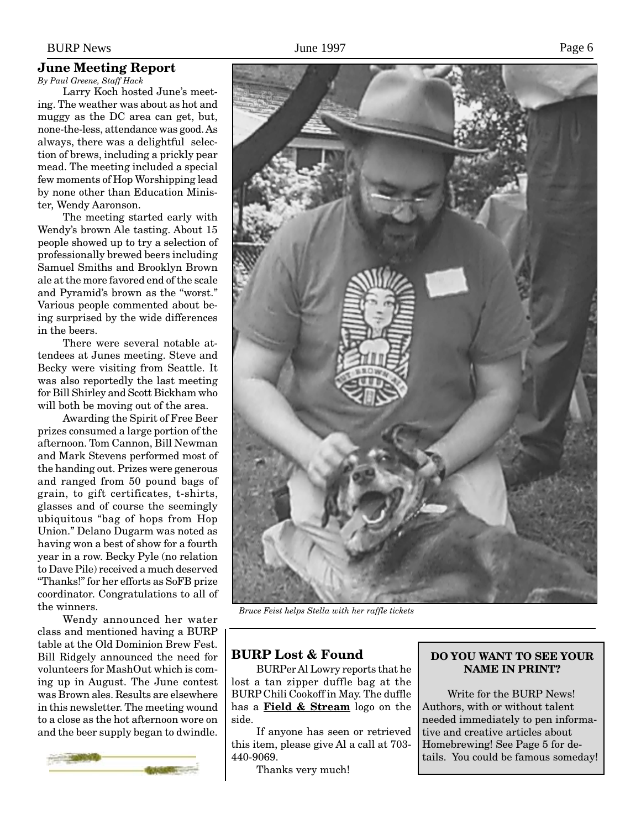#### BURP News Page 6

#### **June Meeting Report**

*By Paul Greene, Staff Hack*

Larry Koch hosted June's meeting. The weather was about as hot and muggy as the DC area can get, but, none-the-less, attendance was good. As always, there was a delightful selection of brews, including a prickly pear mead. The meeting included a special few moments of Hop Worshipping lead by none other than Education Minister, Wendy Aaronson.

The meeting started early with Wendy's brown Ale tasting. About 15 people showed up to try a selection of professionally brewed beers including Samuel Smiths and Brooklyn Brown ale at the more favored end of the scale and Pyramid's brown as the "worst." Various people commented about being surprised by the wide differences in the beers.

There were several notable attendees at Junes meeting. Steve and Becky were visiting from Seattle. It was also reportedly the last meeting for Bill Shirley and Scott Bickham who will both be moving out of the area.

Awarding the Spirit of Free Beer prizes consumed a large portion of the afternoon. Tom Cannon, Bill Newman and Mark Stevens performed most of the handing out. Prizes were generous and ranged from 50 pound bags of grain, to gift certificates, t-shirts, glasses and of course the seemingly ubiquitous "bag of hops from Hop Union." Delano Dugarm was noted as having won a best of show for a fourth year in a row. Becky Pyle (no relation to Dave Pile) received a much deserved "Thanks!" for her efforts as SoFB prize coordinator. Congratulations to all of the winners.

Wendy announced her water class and mentioned having a BURP table at the Old Dominion Brew Fest. Bill Ridgely announced the need for volunteers for MashOut which is coming up in August. The June contest was Brown ales. Results are elsewhere in this newsletter. The meeting wound to a close as the hot afternoon wore on and the beer supply began to dwindle.





*Bruce Feist helps Stella with her raffle tickets*

#### **BURP Lost & Found**

BURPer Al Lowry reports that he lost a tan zipper duffle bag at the BURP Chili Cookoff in May. The duffle has a **Field & Stream** logo on the side.

If anyone has seen or retrieved this item, please give Al a call at 703- 440-9069.

Thanks very much!

#### **DO YOU WANT TO SEE YOUR NAME IN PRINT?**

Write for the BURP News! Authors, with or without talent needed immediately to pen informative and creative articles about Homebrewing! See Page 5 for details. You could be famous someday!